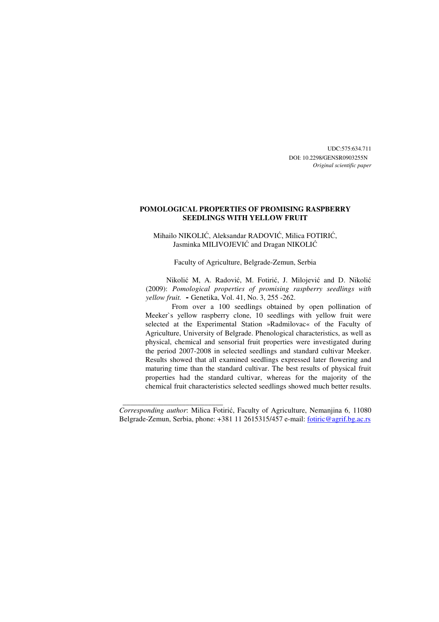UDC:575:634.711 DOI: 10.2298/GENSR0903255N *Original scientific paper* 

## **POMOLOGICAL PROPERTIES OF PROMISING RASPBERRY SEEDLINGS WITH YELLOW FRUIT**

Mihailo NIKOLIĆ, Aleksandar RADOVIĆ, Milica FOTIRIĆ, Jasminka MILIVOJEVIĆ and Dragan NIKOLIĆ

Faculty of Agriculture, Belgrade-Zemun, Serbia

Nikolić M, A. Radović, M. Fotirić, J. Milojević and D. Nikolić (2009): *Pomological properties of promising raspberry seedlings with yellow fruit.* **-** Genetika, Vol. 41, No. 3, 255 -262.

From over a 100 seedlings obtained by open pollination of Meeker`s yellow raspberry clone, 10 seedlings with yellow fruit were selected at the Experimental Station »Radmilovac« of the Faculty of Agriculture, University of Belgrade. Phenological characteristics, as well as physical, chemical and sensorial fruit properties were investigated during the period 2007-2008 in selected seedlings and standard cultivar Meeker. Results showed that all examined seedlings expressed later flowering and maturing time than the standard cultivar. The best results of physical fruit properties had the standard cultivar, whereas for the majority of the chemical fruit characteristics selected seedlings showed much better results.

*Corresponding author*: Milica Fotirić, Faculty of Agriculture, Nemanjina 6, 11080 Belgrade-Zemun, Serbia, phone: +381 11 2615315/457 e-mail: fotiric@agrif.bg.ac.rs

\_\_\_\_\_\_\_\_\_\_\_\_\_\_\_\_\_\_\_\_\_\_\_\_\_\_\_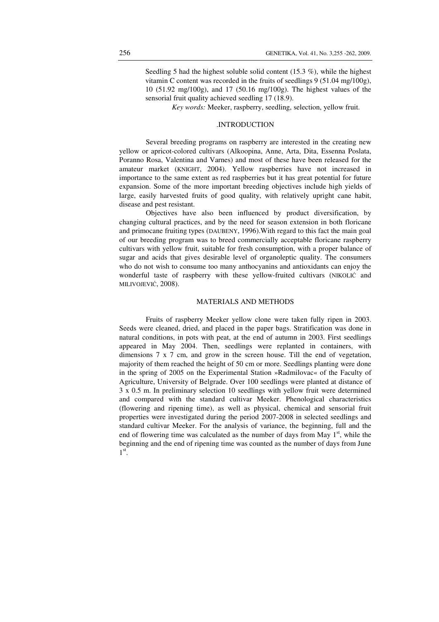Seedling 5 had the highest soluble solid content (15.3 %), while the highest vitamin C content was recorded in the fruits of seedlings 9 (51.04 mg/100g), 10 (51.92 mg/100g), and 17 (50.16 mg/100g). The highest values of the sensorial fruit quality achieved seedling 17 (18.9).

*Key words:* Meeker, raspberry, seedling, selection, yellow fruit.

#### .INTRODUCTION

Several breeding programs on raspberry are interested in the creating new yellow or apricot-colored cultivars (Alkoopina, Anne, Arta, Dita, Essenna Poslata, Poranno Rosa, Valentina and Varnes) and most of these have been released for the amateur market (KNIGHT, 2004). Yellow raspberries have not increased in importance to the same extent as red raspberries but it has great potential for future expansion. Some of the more important breeding objectives include high yields of large, easily harvested fruits of good quality, with relatively upright cane habit, disease and pest resistant.

Objectives have also been influenced by product diversification, by changing cultural practices, and by the need for season extension in both floricane and primocane fruiting types (DAUBENY, 1996).With regard to this fact the main goal of our breeding program was to breed commercially acceptable floricane raspberry cultivars with yellow fruit, suitable for fresh consumption, with a proper balance of sugar and acids that gives desirable level of organoleptic quality. The consumers who do not wish to consume too many anthocyanins and antioxidants can enjoy the wonderful taste of raspberry with these yellow-fruited cultivars (NIKOLIĆ and MILIVOJEVIĆ, 2008).

## MATERIALS AND METHODS

Fruits of raspberry Meeker yellow clone were taken fully ripen in 2003. Seeds were cleaned, dried, and placed in the paper bags. Stratification was done in natural conditions, in pots with peat, at the end of autumn in 2003. First seedlings appeared in May 2004. Then, seedlings were replanted in containers, with dimensions 7 x 7 cm, and grow in the screen house. Till the end of vegetation, majority of them reached the height of 50 cm or more. Seedlings planting were done in the spring of 2005 on the Experimental Station »Radmilovac« of the Faculty of Agriculture, University of Belgrade. Over 100 seedlings were planted at distance of 3 x 0.5 m. In preliminary selection 10 seedlings with yellow fruit were determined and compared with the standard cultivar Meeker. Phenological characteristics (flowering and ripening time), as well as physical, chemical and sensorial fruit properties were investigated during the period 2007-2008 in selected seedlings and standard cultivar Meeker. For the analysis of variance, the beginning, full and the end of flowering time was calculated as the number of days from May  $1<sup>st</sup>$ , while the beginning and the end of ripening time was counted as the number of days from June  $1^\text{st}$ .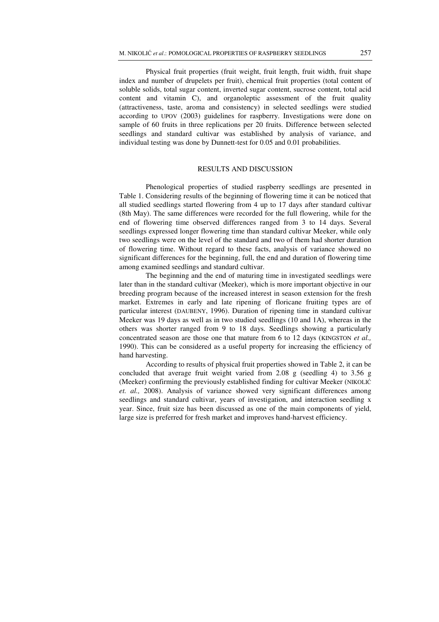Physical fruit properties (fruit weight, fruit length, fruit width, fruit shape index and number of drupelets per fruit), chemical fruit properties (total content of soluble solids, total sugar content, inverted sugar content, sucrose content, total acid content and vitamin C), and organoleptic assessment of the fruit quality (attractiveness, taste, aroma and consistency) in selected seedlings were studied according to UPOV (2003) guidelines for raspberry. Investigations were done on sample of 60 fruits in three replications per 20 fruits. Difference between selected seedlings and standard cultivar was established by analysis of variance, and individual testing was done by Dunnett-test for 0.05 and 0.01 probabilities.

#### RESULTS AND DISCUSSION

Phenological properties of studied raspberry seedlings are presented in Table 1. Considering results of the beginning of flowering time it can be noticed that all studied seedlings started flowering from 4 up to 17 days after standard cultivar (8th May). The same differences were recorded for the full flowering, while for the end of flowering time observed differences ranged from 3 to 14 days. Several seedlings expressed longer flowering time than standard cultivar Meeker, while only two seedlings were on the level of the standard and two of them had shorter duration of flowering time. Without regard to these facts, analysis of variance showed no significant differences for the beginning, full, the end and duration of flowering time among examined seedlings and standard cultivar.

The beginning and the end of maturing time in investigated seedlings were later than in the standard cultivar (Meeker), which is more important objective in our breeding program because of the increased interest in season extension for the fresh market. Extremes in early and late ripening of floricane fruiting types are of particular interest (DAUBENY, 1996). Duration of ripening time in standard cultivar Meeker was 19 days as well as in two studied seedlings (10 and 1A), whereas in the others was shorter ranged from 9 to 18 days. Seedlings showing a particularly concentrated season are those one that mature from 6 to 12 days (KINGSTON *et al.,* 1990). This can be considered as a useful property for increasing the efficiency of hand harvesting.

According to results of physical fruit properties showed in Table 2, it can be concluded that average fruit weight varied from 2.08 g (seedling 4) to 3.56 g (Meeker) confirming the previously established finding for cultivar Meeker (NIKOLIĆ *et. al.,* 2008). Analysis of variance showed very significant differences among seedlings and standard cultivar, years of investigation, and interaction seedling x year. Since, fruit size has been discussed as one of the main components of yield, large size is preferred for fresh market and improves hand-harvest efficiency.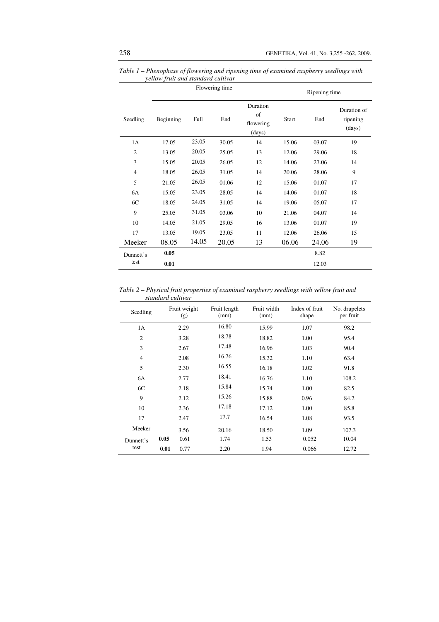|                   | Flowering time |       |       |                                       | Ripening time |       |                                   |
|-------------------|----------------|-------|-------|---------------------------------------|---------------|-------|-----------------------------------|
| Seedling          | Beginning      | Full  | End   | Duration<br>of<br>flowering<br>(days) | <b>Start</b>  | End   | Duration of<br>ripening<br>(days) |
| 1A                | 17.05          | 23.05 | 30.05 | 14                                    | 15.06         | 03.07 | 19                                |
| $\overline{2}$    | 13.05          | 20.05 | 25.05 | 13                                    | 12.06         | 29.06 | 18                                |
| 3                 | 15.05          | 20.05 | 26.05 | 12                                    | 14.06         | 27.06 | 14                                |
| $\overline{4}$    | 18.05          | 26.05 | 31.05 | 14                                    | 20.06         | 28.06 | 9                                 |
| 5                 | 21.05          | 26.05 | 01.06 | 12                                    | 15.06         | 01.07 | 17                                |
| 6A                | 15.05          | 23.05 | 28.05 | 14                                    | 14.06         | 01.07 | 18                                |
| 6C                | 18.05          | 24.05 | 31.05 | 14                                    | 19.06         | 05.07 | 17                                |
| 9                 | 25.05          | 31.05 | 03.06 | 10                                    | 21.06         | 04.07 | 14                                |
| 10                | 14.05          | 21.05 | 29.05 | 16                                    | 13.06         | 01.07 | 19                                |
| 17                | 13.05          | 19.05 | 23.05 | 11                                    | 12.06         | 26.06 | 15                                |
| Meeker            | 08.05          | 14.05 | 20.05 | 13                                    | 06.06         | 24.06 | 19                                |
| Dunnett's<br>test | 0.05           |       |       |                                       |               | 8.82  |                                   |
|                   | 0.01           |       |       |                                       |               | 12.03 |                                   |

*Table 1 – Phenophase of flowering and ripening time of examined raspberry seedlings with yellow fruit and standard cultivar* 

*Table 2 – Physical fruit properties of examined raspberry seedlings with yellow fruit and standard cultivar* 

| Seedling       |      | Fruit weight<br>(g) | Fruit length<br>(mm) | Fruit width<br>(mm) | Index of fruit<br>shape | No. drupelets<br>per fruit |
|----------------|------|---------------------|----------------------|---------------------|-------------------------|----------------------------|
| 1A             |      | 2.29                | 16.80                | 15.99               | 1.07                    | 98.2                       |
| $\mathfrak{2}$ |      | 3.28                | 18.78                | 18.82               | 1.00                    | 95.4                       |
| 3              |      | 2.67                | 17.48                | 16.96               | 1.03                    | 90.4                       |
| $\overline{4}$ |      | 2.08                | 16.76                | 15.32               | 1.10                    | 63.4                       |
| 5              |      | 2.30                | 16.55                | 16.18               | 1.02                    | 91.8                       |
| 6A             |      | 2.77                | 18.41                | 16.76               | 1.10                    | 108.2                      |
| 6C             |      | 2.18                | 15.84                | 15.74               | 1.00                    | 82.5                       |
| 9              |      | 2.12                | 15.26                | 15.88               | 0.96                    | 84.2                       |
| 10             |      | 2.36                | 17.18                | 17.12               | 1.00                    | 85.8                       |
| 17             |      | 2.47                | 17.7                 | 16.54               | 1.08                    | 93.5                       |
| Meeker         |      | 3.56                | 20.16                | 18.50               | 1.09                    | 107.3                      |
| Dunnett's      | 0.05 | 0.61                | 1.74                 | 1.53                | 0.052                   | 10.04                      |
| test           | 0.01 | 0.77                | 2.20                 | 1.94                | 0.066                   | 12.72                      |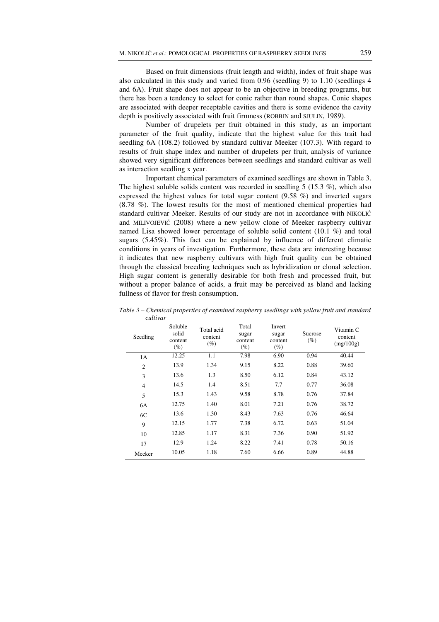Based on fruit dimensions (fruit length and width), index of fruit shape was also calculated in this study and varied from 0.96 (seedling 9) to 1.10 (seedlings 4 and 6A). Fruit shape does not appear to be an objective in breeding programs, but there has been a tendency to select for conic rather than round shapes. Conic shapes are associated with deeper receptable cavities and there is some evidence the cavity depth is positively associated with fruit firmness (ROBBIN and SJULIN, 1989).

Number of drupelets per fruit obtained in this study, as an important parameter of the fruit quality, indicate that the highest value for this trait had seedling 6A (108.2) followed by standard cultivar Meeker (107.3). With regard to results of fruit shape index and number of drupelets per fruit, analysis of variance showed very significant differences between seedlings and standard cultivar as well as interaction seedling x year.

Important chemical parameters of examined seedlings are shown in Table 3. The highest soluble solids content was recorded in seedling  $5(15.3\%)$ , which also expressed the highest values for total sugar content (9.58 %) and inverted sugars (8.78 %). The lowest results for the most of mentioned chemical properties had standard cultivar Meeker. Results of our study are not in accordance with NIKOLIĆ and MILIVOJEVIĆ (2008) where a new yellow clone of Meeker raspberry cultivar named Lisa showed lower percentage of soluble solid content (10.1 %) and total sugars (5.45%). This fact can be explained by influence of different climatic conditions in years of investigation. Furthermore, these data are interesting because it indicates that new raspberry cultivars with high fruit quality can be obtained through the classical breeding techniques such as hybridization or clonal selection. High sugar content is generally desirable for both fresh and processed fruit, but without a proper balance of acids, a fruit may be perceived as bland and lacking fullness of flavor for fresh consumption.

| Seedling       | Soluble<br>solid<br>content<br>$(\%)$ | Total acid<br>content<br>$(\%)$ | Total<br>sugar<br>content<br>$(\%)$ | Invert<br>sugar<br>content<br>$(\%)$ | Sucrose<br>$(\%)$ | Vitamin C<br>content<br>(mg/100g) |
|----------------|---------------------------------------|---------------------------------|-------------------------------------|--------------------------------------|-------------------|-----------------------------------|
| 1A             | 12.25                                 | 1.1                             | 7.98                                | 6.90                                 | 0.94              | 40.44                             |
| $\overline{2}$ | 13.9                                  | 1.34                            | 9.15                                | 8.22                                 | 0.88              | 39.60                             |
| 3              | 13.6                                  | 1.3                             | 8.50                                | 6.12                                 | 0.84              | 43.12                             |
| $\overline{4}$ | 14.5                                  | 1.4                             | 8.51                                | 7.7                                  | 0.77              | 36.08                             |
| 5              | 15.3                                  | 1.43                            | 9.58                                | 8.78                                 | 0.76              | 37.84                             |
| 6A             | 12.75                                 | 1.40                            | 8.01                                | 7.21                                 | 0.76              | 38.72                             |
| 6C             | 13.6                                  | 1.30                            | 8.43                                | 7.63                                 | 0.76              | 46.64                             |
| 9              | 12.15                                 | 1.77                            | 7.38                                | 6.72                                 | 0.63              | 51.04                             |
| 10             | 12.85                                 | 1.17                            | 8.31                                | 7.36                                 | 0.90              | 51.92                             |
| 17             | 12.9                                  | 1.24                            | 8.22                                | 7.41                                 | 0.78              | 50.16                             |
| Meeker         | 10.05                                 | 1.18                            | 7.60                                | 6.66                                 | 0.89              | 44.88                             |

*Table 3 – Chemical properties of examined raspberry seedlings with yellow fruit and standard cultivar*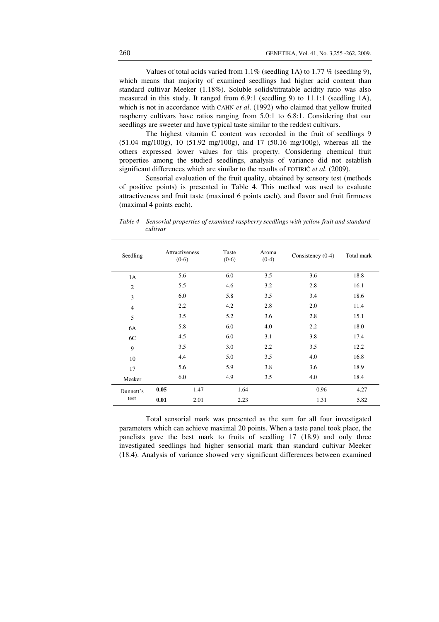Values of total acids varied from  $1.1\%$  (seedling 1A) to 1.77 % (seedling 9), which means that majority of examined seedlings had higher acid content than standard cultivar Meeker (1.18%). Soluble solids/titratable acidity ratio was also measured in this study. It ranged from 6.9:1 (seedling 9) to 11.1:1 (seedling 1A), which is not in accordance with CAHN *et al*. (1992) who claimed that yellow fruited raspberry cultivars have ratios ranging from 5.0:1 to 6.8:1. Considering that our seedlings are sweeter and have typical taste similar to the reddest cultivars.

The highest vitamin C content was recorded in the fruit of seedlings 9 (51.04 mg/100g), 10 (51.92 mg/100g), and 17 (50.16 mg/100g), whereas all the others expressed lower values for this property. Considering chemical fruit properties among the studied seedlings, analysis of variance did not establish significant differences which are similar to the results of FOTIRIĆ *et al*. (2009).

Sensorial evaluation of the fruit quality, obtained by sensory test (methods of positive points) is presented in Table 4. This method was used to evaluate attractiveness and fruit taste (maximal 6 points each), and flavor and fruit firmness (maximal 4 points each).

| Seedling       |      | Attractiveness<br>$(0-6)$ | Taste<br>$(0-6)$ | Aroma<br>$(0-4)$ | Consistency $(0-4)$ | Total mark |
|----------------|------|---------------------------|------------------|------------------|---------------------|------------|
| 1A             |      | 5.6                       | 6.0              | 3.5              | 3.6                 | 18.8       |
| $\overline{2}$ |      | 5.5                       | 4.6              | 3.2              | 2.8                 | 16.1       |
| 3              |      | 6.0                       | 5.8              | 3.5              | 3.4                 | 18.6       |
| $\overline{4}$ |      | 2.2                       | 4.2              | 2.8              | 2.0                 | 11.4       |
| 5              |      | 3.5                       | 5.2              | 3.6              | 2.8                 | 15.1       |
| 6A             |      | 5.8                       | 6.0              | 4.0              | 2.2                 | 18.0       |
| 6C             |      | 4.5                       | 6.0              | 3.1              | 3.8                 | 17.4       |
| 9              |      | 3.5                       | 3.0              | 2.2              | 3.5                 | 12.2       |
| 10             |      | 4.4                       | 5.0              | 3.5              | 4.0                 | 16.8       |
| 17             |      | 5.6                       | 5.9              | 3.8              | 3.6                 | 18.9       |
| Meeker         |      | 6.0                       | 4.9              | 3.5              | 4.0                 | 18.4       |
| Dunnett's      | 0.05 | 1.47                      |                  | 1.64             | 0.96                | 4.27       |
| test           | 0.01 | 2.01                      |                  | 2.23             | 1.31                | 5.82       |

*Table 4 – Sensorial properties of examined raspberry seedlings with yellow fruit and standard cultivar* 

Total sensorial mark was presented as the sum for all four investigated parameters which can achieve maximal 20 points. When a taste panel took place, the panelists gave the best mark to fruits of seedling 17 (18.9) and only three investigated seedlings had higher sensorial mark than standard cultivar Meeker (18.4). Analysis of variance showed very significant differences between examined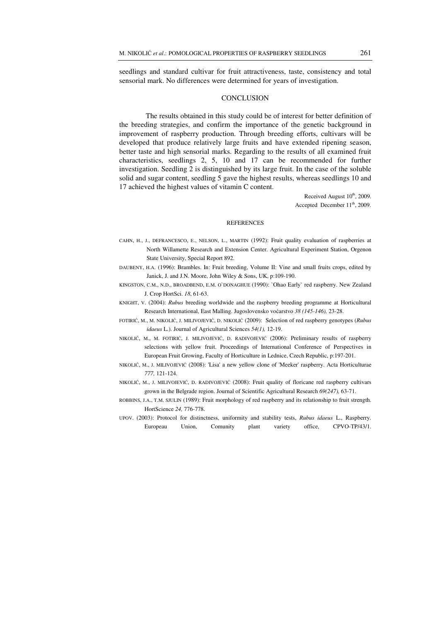seedlings and standard cultivar for fruit attractiveness, taste, consistency and total sensorial mark. No differences were determined for years of investigation.

#### **CONCLUSION**

The results obtained in this study could be of interest for better definition of the breeding strategies, and confirm the importance of the genetic background in improvement of raspberry production. Through breeding efforts, cultivars will be developed that produce relatively large fruits and have extended ripening season, better taste and high sensorial marks. Regarding to the results of all examined fruit characteristics, seedlings 2, 5, 10 and 17 can be recommended for further investigation. Seedling 2 is distinguished by its large fruit. In the case of the soluble solid and sugar content, seedling 5 gave the highest results, whereas seedlings 10 and 17 achieved the highest values of vitamin C content.

> Received August  $10<sup>th</sup>$ , 2009. Accepted December  $11<sup>th</sup>$ , 2009.

#### **REFERENCES**

- CAHN, H., J., DEFRANCESCO, E., NELSON, L., MARTIN (1992): Fruit quality evaluation of raspberries at North Willamette Research and Extension Center. Agricultural Experiment Station, Orgenon State University, Special Report 892.
- DAUBENY, H.A. (1996): Brambles. In: Fruit breeding, Volume II: Vine and small fruits crops, edited by Janick, J. and J.N. Moore, John Wiley & Sons, UK, p:109-190.
- KINGSTON, C.M., N.D., BROADBEND, E.M. O`DONAGHUE (1990): `Ohao Early` red raspberry. New Zealand J. Crop HortSci. *18*, 61-63.
- KNIGHT, V. (2004): *Rubus* breeding worldwide and the raspberry breeding programme at Horticultural Research International, East Malling. Jugoslovensko voćarstvo *38 (145-146),* 23-28.
- FOTIRIĆ, M., M. NIKOLIĆ, J. MILIVOJEVIĆ, D. NIKOLIĆ (2009): Selection of red raspberry genotypes (*Rubus idaeus* L.). Journal of Agricultural Sciences *54(1),* 12-19.
- NIKOLIĆ, M., M. FOTIRIĆ, J. MILIVOJEVIĆ, D. RADIVOJEVIĆ (2006): Preliminary results of raspberry selections with yellow fruit. Proceedings of International Conference of Perspectives in European Fruit Growing, Faculty of Horticulture in Lednice, Czech Republic, p:197-201.
- NIKOLIĆ, M., <sup>Ј</sup>. MILIVOJEVIĆ (2008): 'Lisa' а new yellow clone of 'Meeker' raspberry. Acta Horticulturae *777,* 121-124.
- NIKOLIĆ, M., Ј. MILIVOJEVIĆ, D. RADIVOJEVIĆ (2008): Fruit quality of floricane red raspberry cultivars grown in the Belgrade region. Journal of Scientific Agricultural Research *69(247),* 63-71.
- ROBBINS, J.A., T.M. SJULIN (1989): Fruit morphology of red raspberry and its relationship to fruit strength. HortScience *24,* 776-778.
- UPOV. (2003): Protocol for distinctness, uniformity and stability tests, *Rubus idaeus* L., Raspberry. Europeau Union, Comunity plant variety office, CPVO-TP/43/1.